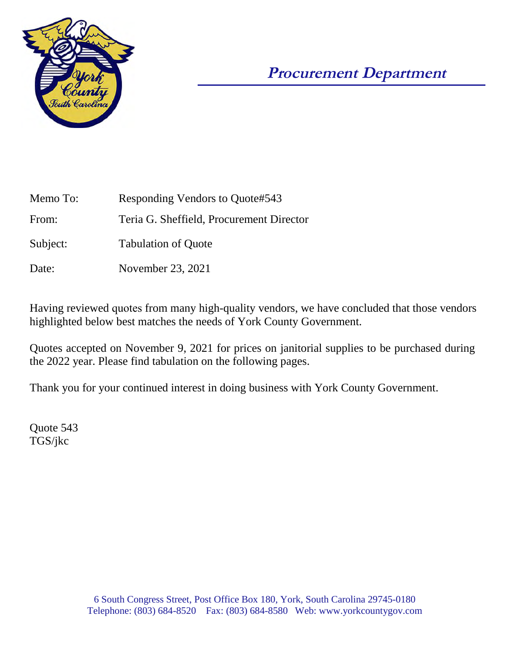

# **Procurement Department**

| Memo To: | Responding Vendors to Quote#543          |  |  |  |  |
|----------|------------------------------------------|--|--|--|--|
| From:    | Teria G. Sheffield, Procurement Director |  |  |  |  |
| Subject: | <b>Tabulation of Quote</b>               |  |  |  |  |
| Date:    | November 23, 2021                        |  |  |  |  |

Having reviewed quotes from many high-quality vendors, we have concluded that those vendors highlighted below best matches the needs of York County Government.

Quotes accepted on November 9, 2021 for prices on janitorial supplies to be purchased during the 2022 year. Please find tabulation on the following pages.

Thank you for your continued interest in doing business with York County Government.

Quote 543 TGS/jkc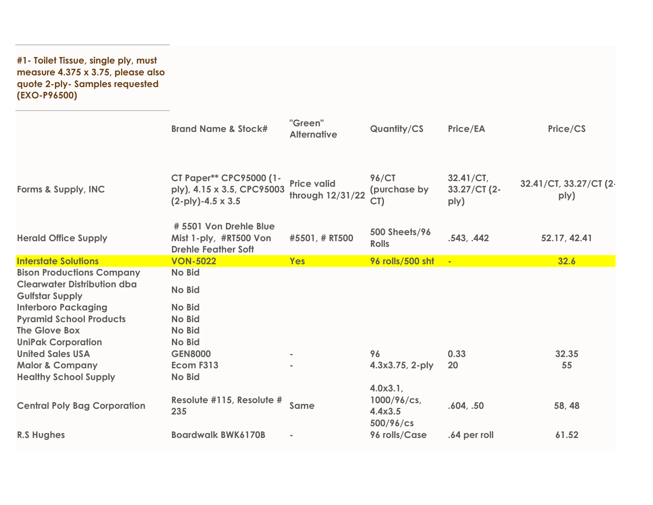**#1- Toilet Tissue, single ply, must measure 4.375 x 3.75, please also quote 2-ply- Samples requested (EXO-P96500)**

|                                                              | <b>Brand Name &amp; Stock#</b>                                                    | "Green"<br><b>Alternative</b>          | <b>Quantity/CS</b>                             | <b>Price/EA</b>                      | Price/CS                       |
|--------------------------------------------------------------|-----------------------------------------------------------------------------------|----------------------------------------|------------------------------------------------|--------------------------------------|--------------------------------|
| Forms & Supply, INC                                          | CT Paper** CPC95000 (1-<br>ply), 4.15 x 3.5, CPC95003<br>$(2-ply)-4.5 \times 3.5$ | <b>Price valid</b><br>through 12/31/22 | <b>96/CT</b><br>(purchase by<br>CT)            | $32.41/CT$ ,<br>33.27/CT (2-<br>ply) | 32.41/CT, 33.27/CT (2-<br>ply) |
| <b>Herald Office Supply</b>                                  | # 5501 Von Drehle Blue<br>Mist 1-ply, #RT500 Von<br><b>Drehle Feather Soft</b>    | #5501, # RT500                         | <b>500 Sheets/96</b><br><b>Rolls</b>           | .543, .442                           | 52.17, 42.41                   |
| <b>Interstate Solutions</b>                                  | <b>VON-5022</b>                                                                   | Yes                                    | 96 rolls/500 sht                               | $\blacksquare$                       | 32.6                           |
| <b>Bison Productions Company</b>                             | <b>No Bid</b>                                                                     |                                        |                                                |                                      |                                |
| <b>Clearwater Distribution dba</b><br><b>Gulfstar Supply</b> | <b>No Bid</b>                                                                     |                                        |                                                |                                      |                                |
| <b>Interboro Packaging</b>                                   | <b>No Bid</b>                                                                     |                                        |                                                |                                      |                                |
| <b>Pyramid School Products</b>                               | No Bid                                                                            |                                        |                                                |                                      |                                |
| The Glove Box                                                | <b>No Bid</b>                                                                     |                                        |                                                |                                      |                                |
| <b>UniPak Corporation</b>                                    | No Bid                                                                            |                                        |                                                |                                      |                                |
| <b>United Sales USA</b>                                      | <b>GEN8000</b>                                                                    | $\sim$                                 | 96                                             | 0.33                                 | 32.35                          |
| <b>Malor &amp; Company</b>                                   | Ecom F313                                                                         |                                        | 4.3x3.75, 2-ply                                | 20                                   | 55                             |
| <b>Healthy School Supply</b>                                 | No Bid                                                                            |                                        |                                                |                                      |                                |
| <b>Central Poly Bag Corporation</b>                          | Resolute #115, Resolute #<br>235                                                  | Same                                   | 4.0x3.1<br>1000/96/cs,<br>4.4x3.5<br>500/96/cs | .604, .50                            | 58, 48                         |
| <b>R.S Hughes</b>                                            | <b>Boardwalk BWK6170B</b>                                                         | $\blacksquare$                         | 96 rolls/Case                                  | .64 per roll                         | 61.52                          |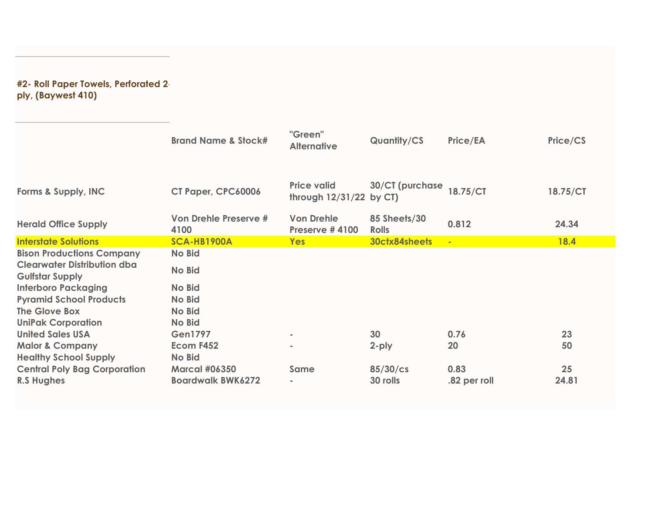### **#2- Roll Paper Towels, Perforated 2 ply, (Baywest 410)**

|                                                              | <b>Brand Name &amp; Stock#</b> | "Green"<br><b>Alternative</b>                   | <b>Quantity/CS</b>           | Price/EA     | Price/CS    |
|--------------------------------------------------------------|--------------------------------|-------------------------------------------------|------------------------------|--------------|-------------|
| Forms & Supply, INC                                          | CT Paper, CPC60006             | <b>Price valid</b><br>through $12/31/22$ by CT) | 30/CT (purchase              | 18.75/CT     | 18.75/CT    |
| <b>Herald Office Supply</b>                                  | Von Drehle Preserve #<br>4100  | <b>Von Drehle</b><br>Preserve #4100             | 85 Sheets/30<br><b>Rolls</b> | 0.812        | 24.34       |
| <b>Interstate Solutions</b>                                  | SCA-HB1900A                    | <b>Yes</b>                                      | 30ctx84sheets                | $\mathbf{u}$ | <b>18.4</b> |
| <b>Bison Productions Company</b>                             | <b>No Bid</b>                  |                                                 |                              |              |             |
| <b>Clearwater Distribution dba</b><br><b>Gulfstar Supply</b> | <b>No Bid</b>                  |                                                 |                              |              |             |
| <b>Interboro Packaging</b>                                   | <b>No Bid</b>                  |                                                 |                              |              |             |
| <b>Pyramid School Products</b>                               | <b>No Bid</b>                  |                                                 |                              |              |             |
| The Glove Box                                                | <b>No Bid</b>                  |                                                 |                              |              |             |
| <b>UniPak Corporation</b>                                    | <b>No Bid</b>                  |                                                 |                              |              |             |
| <b>United Sales USA</b>                                      | <b>Gen1797</b>                 | $\sim$                                          | 30                           | 0.76         | 23          |
| <b>Malor &amp; Company</b><br><b>Healthy School Supply</b>   | Ecom F452<br><b>No Bid</b>     |                                                 | 2-ply                        | 20           | 50          |
| <b>Central Poly Bag Corporation</b>                          | <b>Marcal #06350</b>           | Same                                            | $85/30$ /cs                  | 0.83         | 25          |
| <b>R.S Hughes</b>                                            | <b>Boardwalk BWK6272</b>       |                                                 | 30 rolls                     | .82 per roll | 24.81       |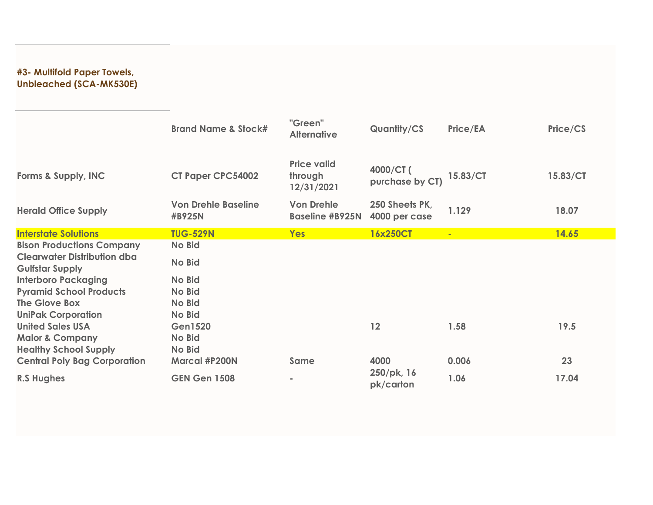### **#3- Multifold Paper Towels, Unbleached (SCA-MK530E)**

|                                                              | <b>Brand Name &amp; Stock#</b>       | "Green"<br><b>Alternative</b>               | Quantity/CS                     | <b>Price/EA</b> | Price/CS |
|--------------------------------------------------------------|--------------------------------------|---------------------------------------------|---------------------------------|-----------------|----------|
| Forms & Supply, INC                                          | <b>CT Paper CPC54002</b>             | <b>Price valid</b><br>through<br>12/31/2021 | 4000/CT (<br>purchase by CT)    | 15.83/CT        | 15.83/CT |
| <b>Herald Office Supply</b>                                  | <b>Von Drehle Baseline</b><br>#B925N | <b>Von Drehle</b><br><b>Baseline #B925N</b> | 250 Sheets PK,<br>4000 per case | 1.129           | 18.07    |
| <b>Interstate Solutions</b>                                  | <b>TUG-529N</b>                      | <b>Yes</b>                                  | 16x250CT                        | ×.              | 14.65    |
| <b>Bison Productions Company</b>                             | No Bid                               |                                             |                                 |                 |          |
| <b>Clearwater Distribution dba</b><br><b>Gulfstar Supply</b> | No Bid                               |                                             |                                 |                 |          |
| <b>Interboro Packaging</b>                                   | <b>No Bid</b>                        |                                             |                                 |                 |          |
| <b>Pyramid School Products</b>                               | No Bid                               |                                             |                                 |                 |          |
| The Glove Box                                                | <b>No Bid</b>                        |                                             |                                 |                 |          |
| <b>UniPak Corporation</b>                                    | <b>No Bid</b>                        |                                             |                                 |                 |          |
| <b>United Sales USA</b>                                      | <b>Gen1520</b>                       |                                             | 12                              | 1.58            | 19.5     |
| <b>Malor &amp; Company</b>                                   | <b>No Bid</b>                        |                                             |                                 |                 |          |
| <b>Healthy School Supply</b>                                 | <b>No Bid</b>                        |                                             |                                 |                 |          |
| <b>Central Poly Bag Corporation</b>                          | <b>Marcal #P200N</b>                 | Same                                        | 4000                            | 0.006           | 23       |
| <b>R.S Hughes</b>                                            | <b>GEN Gen 1508</b>                  |                                             | 250/pk, 16<br>pk/carton         | 1.06            | 17.04    |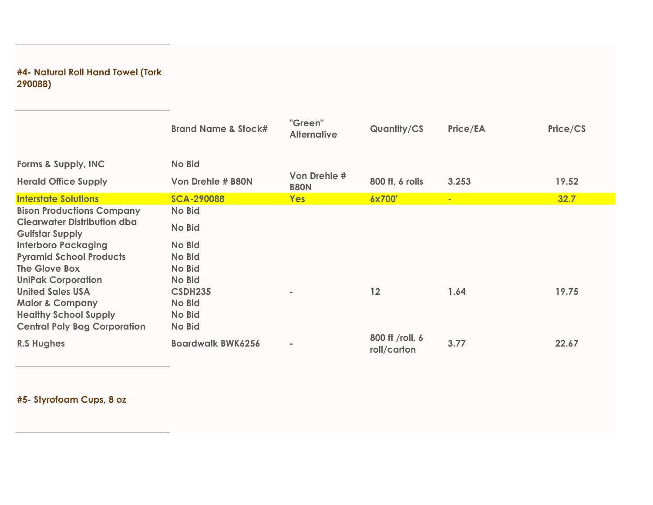### **#4- Natural Roll Hand Towel (Tork 290088)**

|                                                              | <b>Brand Name &amp; Stock#</b> | "Green"<br><b>Alternative</b> | <b>Quantity/CS</b>             | Price/EA | Price/CS |
|--------------------------------------------------------------|--------------------------------|-------------------------------|--------------------------------|----------|----------|
| Forms & Supply, INC                                          | No Bid                         |                               |                                |          |          |
| <b>Herald Office Supply</b>                                  | Von Drehle # B80N              | Von Drehle #<br><b>B80N</b>   | 800 ft, 6 rolls                | 3.253    | 19.52    |
| <b>Interstate Solutions</b>                                  | <b>SCA-290088</b>              | <b>Yes</b>                    | 6x700'                         | u,       | 32.7     |
| <b>Bison Productions Company</b>                             | <b>No Bid</b>                  |                               |                                |          |          |
| <b>Clearwater Distribution dba</b><br><b>Gulfstar Supply</b> | <b>No Bid</b>                  |                               |                                |          |          |
| <b>Interboro Packaging</b>                                   | <b>No Bid</b>                  |                               |                                |          |          |
| <b>Pyramid School Products</b>                               | <b>No Bid</b>                  |                               |                                |          |          |
| The Glove Box                                                | <b>No Bid</b>                  |                               |                                |          |          |
| <b>UniPak Corporation</b>                                    | <b>No Bid</b>                  |                               |                                |          |          |
| <b>United Sales USA</b>                                      | <b>CSDH235</b>                 |                               | 12                             | 1.64     | 19.75    |
| <b>Malor &amp; Company</b>                                   | <b>No Bid</b>                  |                               |                                |          |          |
| <b>Healthy School Supply</b>                                 | <b>No Bid</b>                  |                               |                                |          |          |
| <b>Central Poly Bag Corporation</b>                          | <b>No Bid</b>                  |                               |                                |          |          |
| <b>R.S Hughes</b>                                            | <b>Boardwalk BWK6256</b>       | ×                             | 800 ft /roll, 6<br>roll/carton | 3.77     | 22.67    |

**#5- Styrofoam Cups, 8 oz**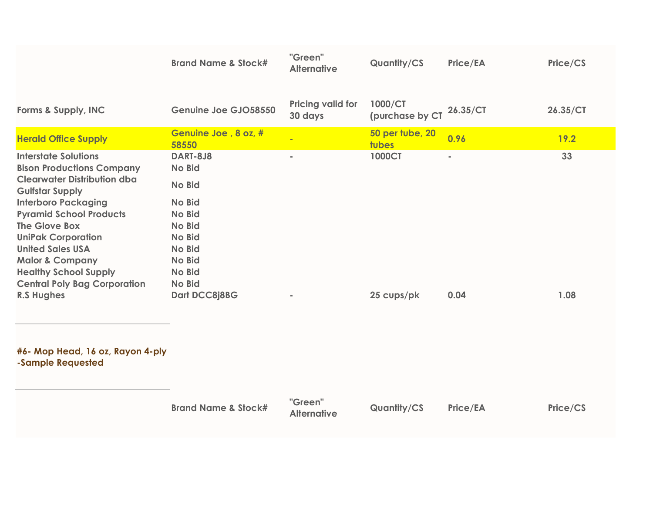|                                                                                                                                                                                                                                                                                                                                                                                                    | <b>Brand Name &amp; Stock#</b>                                                                                                                                                 | "Green"<br><b>Alternative</b>       | Quantity/CS                 | Price/EA          | Price/CS   |
|----------------------------------------------------------------------------------------------------------------------------------------------------------------------------------------------------------------------------------------------------------------------------------------------------------------------------------------------------------------------------------------------------|--------------------------------------------------------------------------------------------------------------------------------------------------------------------------------|-------------------------------------|-----------------------------|-------------------|------------|
| Forms & Supply, INC                                                                                                                                                                                                                                                                                                                                                                                | Genuine Joe GJO58550                                                                                                                                                           | <b>Pricing valid for</b><br>30 days | 1000/CT<br>(purchase by CT  | 26.35/CT          | 26.35/CT   |
| <b>Herald Office Supply</b>                                                                                                                                                                                                                                                                                                                                                                        | Genuine Joe, 8 oz, #<br>58550                                                                                                                                                  |                                     | 50 per tube, 20<br>tubes    | 0.96              | 19.2       |
| <b>Interstate Solutions</b><br><b>Bison Productions Company</b><br><b>Clearwater Distribution dba</b><br><b>Gulfstar Supply</b><br><b>Interboro Packaging</b><br><b>Pyramid School Products</b><br>The Glove Box<br><b>UniPak Corporation</b><br><b>United Sales USA</b><br><b>Malor &amp; Company</b><br><b>Healthy School Supply</b><br><b>Central Poly Bag Corporation</b><br><b>R.S Hughes</b> | <b>DART-8J8</b><br><b>No Bid</b><br><b>No Bid</b><br><b>No Bid</b><br><b>No Bid</b><br><b>No Bid</b><br><b>No Bid</b><br>No Bid<br>No Bid<br>No Bid<br>No Bid<br>Dart DCC8j8BG | $\blacksquare$                      | <b>1000CT</b><br>25 cups/pk | $\bar{a}$<br>0.04 | 33<br>1.08 |
| #6- Mop Head, 16 oz, Rayon 4-ply<br>-Sample Requested                                                                                                                                                                                                                                                                                                                                              |                                                                                                                                                                                |                                     |                             |                   |            |
|                                                                                                                                                                                                                                                                                                                                                                                                    | <b>Brand Name &amp; Stock#</b>                                                                                                                                                 | "Green"<br><b>Alternative</b>       | Quantity/CS                 | Price/EA          | Price/CS   |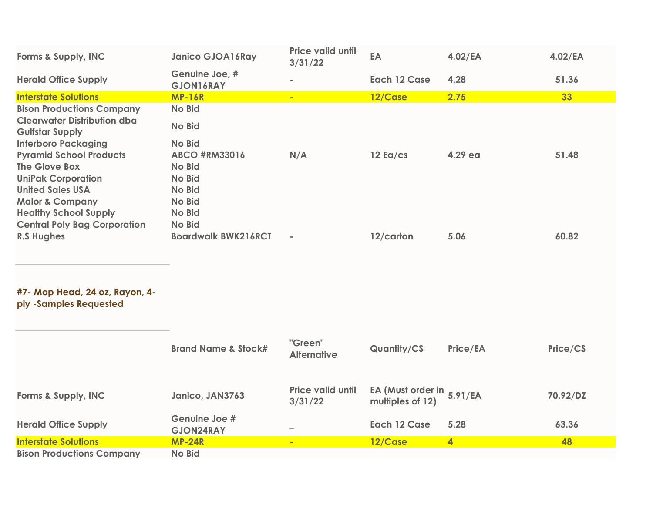| Forms & Supply, INC                                          | <b>Janico GJOA16Ray</b>     | <b>Price valid until</b><br>3/31/22 | EA                  | $4.02$ /EA | $4.02$ /EA |
|--------------------------------------------------------------|-----------------------------|-------------------------------------|---------------------|------------|------------|
| <b>Herald Office Supply</b>                                  | Genuine Joe, #<br>GJON16RAY | $\equiv$                            | <b>Each 12 Case</b> | 4.28       | 51.36      |
| <b>Interstate Solutions</b>                                  | <b>MP-16R</b>               | $\blacksquare$                      | 12/Case             | 2.75       | 33         |
| <b>Bison Productions Company</b>                             | <b>No Bid</b>               |                                     |                     |            |            |
| <b>Clearwater Distribution dba</b><br><b>Gulfstar Supply</b> | <b>No Bid</b>               |                                     |                     |            |            |
| <b>Interboro Packaging</b>                                   | No Bid                      |                                     |                     |            |            |
| <b>Pyramid School Products</b>                               | <b>ABCO #RM33016</b>        | N/A                                 | $12$ Ea/cs          | 4.29 ea    | 51.48      |
| The Glove Box                                                | No Bid                      |                                     |                     |            |            |
| <b>UniPak Corporation</b>                                    | <b>No Bid</b>               |                                     |                     |            |            |
| <b>United Sales USA</b>                                      | <b>No Bid</b>               |                                     |                     |            |            |
| <b>Malor &amp; Company</b>                                   | <b>No Bid</b>               |                                     |                     |            |            |
| <b>Healthy School Supply</b>                                 | <b>No Bid</b>               |                                     |                     |            |            |
| <b>Central Poly Bag Corporation</b>                          | <b>No Bid</b>               |                                     |                     |            |            |
| <b>R.S Hughes</b>                                            | <b>Boardwalk BWK216RCT</b>  | $\blacksquare$                      | 12/carton           | 5.06       | 60.82      |

#### **#7- Mop Head, 24 oz, Rayon, 4 ply -Samples Requested**

|                                  | <b>Brand Name &amp; Stock#</b>    | "Green"<br><b>Alternative</b>       | <b>Quantity/CS</b>                            | Price/EA | Price/CS |
|----------------------------------|-----------------------------------|-------------------------------------|-----------------------------------------------|----------|----------|
| Forms & Supply, INC              | Janico, JAN3763                   | <b>Price valid until</b><br>3/31/22 | EA (Must order in 5.91/EA<br>multiples of 12) |          | 70.92/DZ |
| <b>Herald Office Supply</b>      | Genuine Joe #<br><b>GJON24RAY</b> | $\overline{\phantom{a}}$            | Each 12 Case                                  | 5.28     | 63.36    |
| <b>Interstate Solutions</b>      | <b>MP-24R</b>                     | $\blacksquare$                      | 12/Case                                       | 4        | 48       |
| <b>Bison Productions Company</b> | <b>No Bid</b>                     |                                     |                                               |          |          |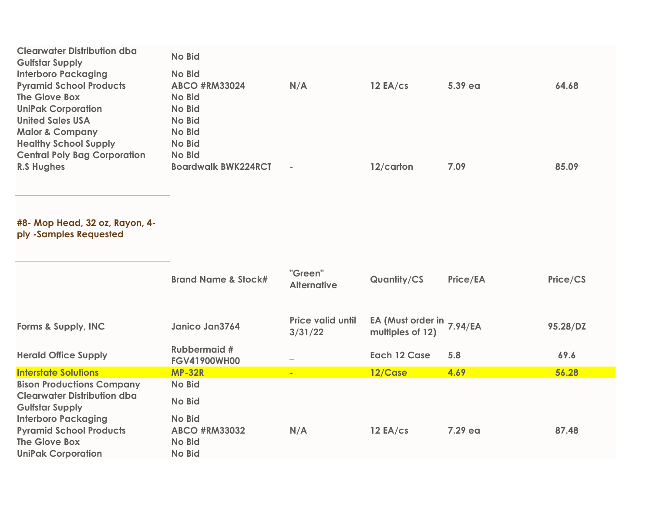| <b>Clearwater Distribution dba</b>  | <b>No Bid</b>              |            |           |         |       |
|-------------------------------------|----------------------------|------------|-----------|---------|-------|
| <b>Gulfstar Supply</b>              |                            |            |           |         |       |
| <b>Interboro Packaging</b>          | <b>No Bid</b>              |            |           |         |       |
| <b>Pyramid School Products</b>      | <b>ABCO #RM33024</b>       | N/A        | 12EA/cs   | 5.39 ea | 64.68 |
| The Glove Box                       | No Bid                     |            |           |         |       |
| <b>UniPak Corporation</b>           | No Bid                     |            |           |         |       |
| <b>United Sales USA</b>             | No Bid                     |            |           |         |       |
| <b>Malor &amp; Company</b>          | No Bid                     |            |           |         |       |
| <b>Healthy School Supply</b>        | No Bid                     |            |           |         |       |
| <b>Central Poly Bag Corporation</b> | <b>No Bid</b>              |            |           |         |       |
| <b>R.S Hughes</b>                   | <b>Boardwalk BWK224RCT</b> | <b>COL</b> | 12/carton | 7.09    | 85.09 |

#### **#8- Mop Head, 32 oz, Rayon, 4 ply -Samples Requested**

|                                                                              | <b>Brand Name &amp; Stock#</b>                  | "Green"<br><b>Alternative</b>       | <b>Quantity/CS</b>                            | <b>Price/EA</b> | Price/CS |
|------------------------------------------------------------------------------|-------------------------------------------------|-------------------------------------|-----------------------------------------------|-----------------|----------|
| Forms & Supply, INC                                                          | Janico Jan3764                                  | <b>Price valid until</b><br>3/31/22 | EA (Must order in 7.94/EA<br>multiples of 12) |                 | 95.28/DZ |
| <b>Herald Office Supply</b>                                                  | <b>Rubbermaid #</b><br><b>FGV41900WH00</b>      |                                     | Each 12 Case                                  | 5.8             | 69.6     |
| <b>Interstate Solutions</b>                                                  | <b>MP-32R</b>                                   | $\blacksquare$                      | 12/Case                                       | 4.69            | 56.28    |
| <b>Bison Productions Company</b>                                             | <b>No Bid</b>                                   |                                     |                                               |                 |          |
| <b>Clearwater Distribution dba</b><br><b>Gulfstar Supply</b>                 | <b>No Bid</b>                                   |                                     |                                               |                 |          |
| <b>Interboro Packaging</b>                                                   | <b>No Bid</b>                                   |                                     |                                               |                 |          |
| <b>Pyramid School Products</b><br>The Glove Box<br><b>UniPak Corporation</b> | <b>ABCO #RM33032</b><br><b>No Bid</b><br>No Bid | N/A                                 | 12EA/cs                                       | 7.29 ea         | 87.48    |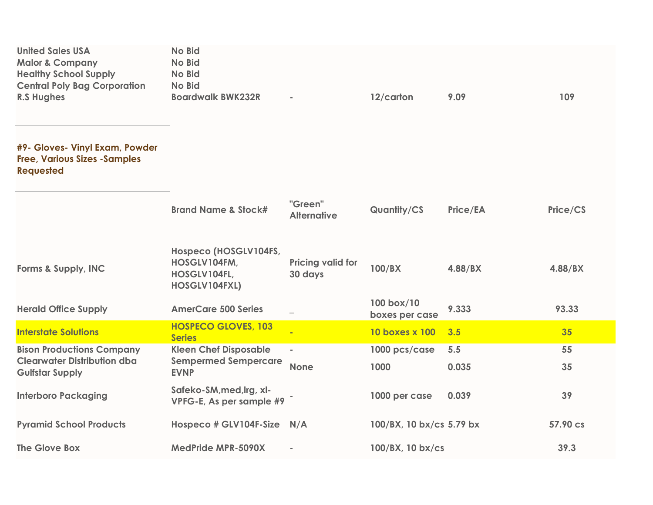| <b>United Sales USA</b><br><b>Malor &amp; Company</b><br><b>Healthy School Supply</b><br><b>Central Poly Bag Corporation</b><br><b>R.S Hughes</b> | <b>No Bid</b><br><b>No Bid</b><br>No Bid<br><b>No Bid</b><br><b>Boardwalk BWK232R</b> |                                     | 12/carton                    | 9.09         | 109      |
|---------------------------------------------------------------------------------------------------------------------------------------------------|---------------------------------------------------------------------------------------|-------------------------------------|------------------------------|--------------|----------|
| #9- Gloves- Vinyl Exam, Powder<br><b>Free, Various Sizes - Samples</b><br><b>Requested</b>                                                        |                                                                                       |                                     |                              |              |          |
|                                                                                                                                                   | <b>Brand Name &amp; Stock#</b>                                                        | "Green"<br><b>Alternative</b>       | Quantity/CS                  | Price/EA     | Price/CS |
| Forms & Supply, INC                                                                                                                               | Hospeco (HOSGLV104FS,<br>HOSGLV104FM,<br>HOSGLV104FL,<br>HOSGLV104FXL)                | <b>Pricing valid for</b><br>30 days | 100/BX                       | 4.88/BX      | 4.88/BX  |
| <b>Herald Office Supply</b>                                                                                                                       | <b>AmerCare 500 Series</b>                                                            |                                     | 100 box/10<br>boxes per case | 9.333        | 93.33    |
| <b>Interstate Solutions</b>                                                                                                                       | <b>HOSPECO GLOVES, 103</b><br><b>Series</b>                                           | ÷                                   | 10 boxes x 100               | 3.5          | 35       |
| <b>Bison Productions Company</b><br><b>Clearwater Distribution dba</b><br><b>Gulfstar Supply</b>                                                  | <b>Kleen Chef Disposable</b><br><b>Sempermed Sempercare</b><br><b>EVNP</b>            | $\blacksquare$<br><b>None</b>       | 1000 pcs/case<br>1000        | 5.5<br>0.035 | 55<br>35 |
| <b>Interboro Packaging</b>                                                                                                                        | Safeko-SM, med, Irg, xl-<br>VPFG-E, As per sample #9                                  |                                     | 1000 per case                | 0.039        | 39       |
| <b>Pyramid School Products</b>                                                                                                                    | Hospeco # GLV104F-Size N/A                                                            |                                     | 100/BX, 10 bx/cs 5.79 bx     |              | 57.90 cs |
| <b>The Glove Box</b>                                                                                                                              | <b>MedPride MPR-5090X</b>                                                             |                                     | 100/BX, 10 bx/cs             |              | 39.3     |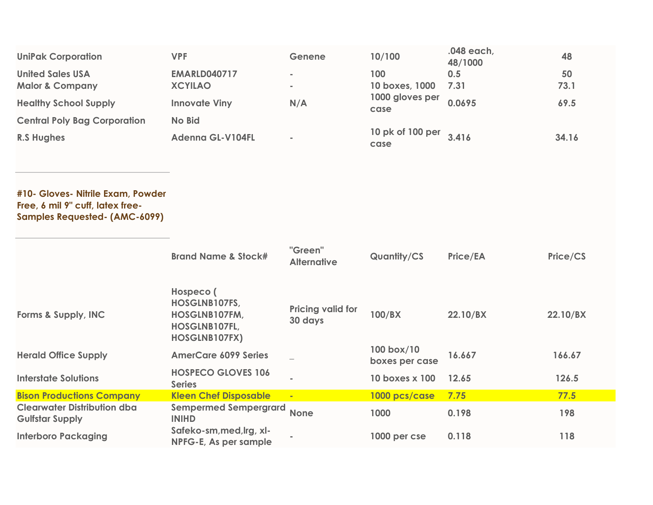| <b>UniPak Corporation</b>           | <b>VPF</b>              | Genene         | 10/100                   | .048 each,<br>48/1000 | 48    |
|-------------------------------------|-------------------------|----------------|--------------------------|-----------------------|-------|
| <b>United Sales USA</b>             | <b>EMARLD040717</b>     | $\sim$         | 100                      | 0.5                   | 50    |
| <b>Malor &amp; Company</b>          | <b>XCYILAO</b>          | <b>COL</b>     | 10 boxes, 1000           | 7.31                  | 73.1  |
| <b>Healthy School Supply</b>        | <b>Innovate Viny</b>    | N/A            | 1000 gloves per<br>case  | 0.0695                | 69.5  |
| <b>Central Poly Bag Corporation</b> | <b>No Bid</b>           |                |                          |                       |       |
| <b>R.S Hughes</b>                   | <b>Adenna GL-V104FL</b> | $\blacksquare$ | 10 pk of 100 per<br>case | 3.416                 | 34.16 |

**#10- Gloves- Nitrile Exam, Powder Free, 6 mil 9" cuff, latex free-Samples Requested- (AMC-6099)**

|                                                              | <b>Brand Name &amp; Stock#</b>                                                       | "Green"<br><b>Alternative</b>       | <b>Quantity/CS</b>           | Price/EA | Price/CS |
|--------------------------------------------------------------|--------------------------------------------------------------------------------------|-------------------------------------|------------------------------|----------|----------|
| Forms & Supply, INC                                          | Hospeco (<br>HOSGLNB107FS,<br>HOSGLNB107FM,<br>HOSGLNB107FL,<br><b>HOSGLNB107FX)</b> | <b>Pricing valid for</b><br>30 days | 100/BX                       | 22.10/BX | 22.10/BX |
| <b>Herald Office Supply</b>                                  | <b>AmerCare 6099 Series</b>                                                          |                                     | 100 box/10<br>boxes per case | 16.667   | 166.67   |
| <b>Interstate Solutions</b>                                  | <b>HOSPECO GLOVES 106</b><br><b>Series</b>                                           | <b>COL</b>                          | 10 boxes x 100               | 12.65    | 126.5    |
| <b>Bison Productions Company</b>                             | <b>Kleen Chef Disposable</b>                                                         | $\blacksquare$                      | 1000 pcs/case                | 7.75     | 77.5     |
| <b>Clearwater Distribution dba</b><br><b>Gulfstar Supply</b> | <b>Sempermed Sempergrard</b><br><b>INIHD</b>                                         | <b>None</b>                         | 1000                         | 0.198    | 198      |
| <b>Interboro Packaging</b>                                   | Safeko-sm, med, lrg, xl-<br>NPFG-E, As per sample                                    | ×.                                  | 1000 per cse                 | 0.118    | 118      |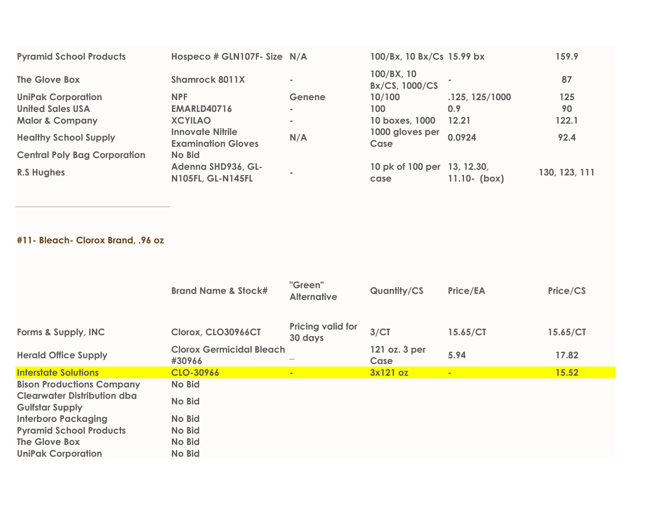| <b>Pyramid School Products</b>      | Hospeco # GLN107F- Size N/A                          |          | 100/Bx, 10 Bx/Cs 15.99 bx           |                  | 159.9         |
|-------------------------------------|------------------------------------------------------|----------|-------------------------------------|------------------|---------------|
| The Glove Box                       | Shamrock 8011X                                       | ×.       | 100/BX, 10<br>Bx/CS, 1000/CS        |                  | 87            |
| <b>UniPak Corporation</b>           | <b>NPF</b>                                           | Genene   | 10/100                              | .125, 125/1000   | 125           |
| <b>United Sales USA</b>             | <b>EMARLD40716</b>                                   | $\equiv$ | 100                                 | 0.9 <sub>2</sub> | 90            |
| <b>Malor &amp; Company</b>          | <b>XCYILAO</b>                                       | ×.       | 10 boxes, 1000                      | 12.21            | 122.1         |
| <b>Healthy School Supply</b>        | <b>Innovate Nitrile</b><br><b>Examination Gloves</b> | N/A      | 1000 gloves per<br>Case             | 0.0924           | 92.4          |
| <b>Central Poly Bag Corporation</b> | <b>No Bid</b>                                        |          |                                     |                  |               |
| <b>R.S Hughes</b>                   | Adenna SHD936, GL-<br><b>N105FL, GL-N145FL</b>       |          | 10 pk of 100 per 13, 12.30,<br>case | $11.10 - (box)$  | 130, 123, 111 |

## **#11- Bleach- Clorox Brand, .96 oz**

|                                                              | <b>Brand Name &amp; Stock#</b>            | "Green"<br><b>Alternative</b>       | <b>Quantity/CS</b>    | <b>Price/EA</b> | Price/CS |
|--------------------------------------------------------------|-------------------------------------------|-------------------------------------|-----------------------|-----------------|----------|
| Forms & Supply, INC                                          | Clorox, CLO30966CT                        | <b>Pricing valid for</b><br>30 days | 3/CT                  | 15.65/CT        | 15.65/CT |
| <b>Herald Office Supply</b>                                  | <b>Clorox Germicidal Bleach</b><br>#30966 |                                     | 121 oz. 3 per<br>Case | 5.94            | 17.82    |
| <b>Interstate Solutions</b>                                  | CLO-30966                                 | $\blacksquare$                      | 3x121 oz              | $\sim$          | 15.52    |
| <b>Bison Productions Company</b>                             | <b>No Bid</b>                             |                                     |                       |                 |          |
| <b>Clearwater Distribution dba</b><br><b>Gulfstar Supply</b> | <b>No Bid</b>                             |                                     |                       |                 |          |
| <b>Interboro Packaging</b>                                   | <b>No Bid</b>                             |                                     |                       |                 |          |
| <b>Pyramid School Products</b>                               | <b>No Bid</b>                             |                                     |                       |                 |          |
| The Glove Box                                                | <b>No Bid</b>                             |                                     |                       |                 |          |
| <b>UniPak Corporation</b>                                    | <b>No Bid</b>                             |                                     |                       |                 |          |